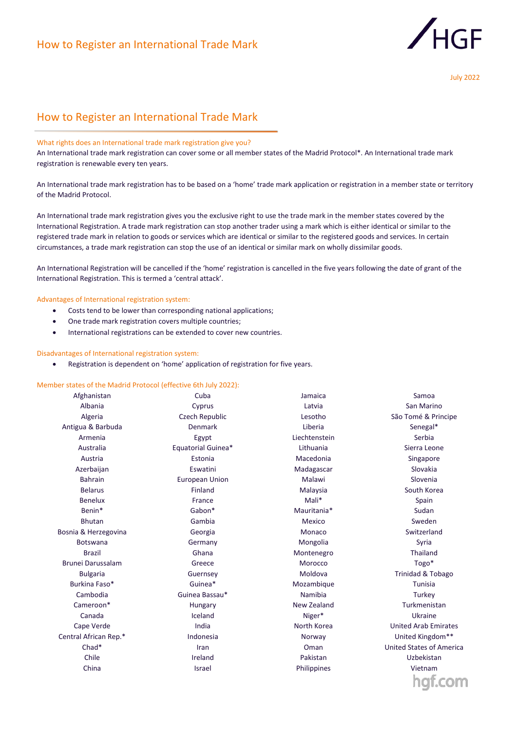

# How to Register an International Trade Mark

## What rights does an International trade mark registration give you?

An International trade mark registration can cover some or all member states of the Madrid Protocol\*. An International trade mark registration is renewable every ten years.

An International trade mark registration has to be based on a 'home' trade mark application or registration in a member state or territory of the Madrid Protocol.

An International trade mark registration gives you the exclusive right to use the trade mark in the member states covered by the International Registration. A trade mark registration can stop another trader using a mark which is either identical or similar to the registered trade mark in relation to goods or services which are identical or similar to the registered goods and services. In certain circumstances, a trade mark registration can stop the use of an identical or similar mark on wholly dissimilar goods.

An International Registration will be cancelled if the 'home' registration is cancelled in the five years following the date of grant of the International Registration. This is termed a 'central attack'.

## Advantages of International registration system:

- Costs tend to be lower than corresponding national applications;
- One trade mark registration covers multiple countries;
- International registrations can be extended to cover new countries.

### Disadvantages of International registration system:

• Registration is dependent on 'home' application of registration for five years.

## Member states of the Madrid Protocol (effective 6th July 2022):

| Afghanistan              | Cuba                  | Jamaica       | Samoa                           |
|--------------------------|-----------------------|---------------|---------------------------------|
| Albania                  | Cyprus                | Latvia        | San Marino                      |
| Algeria                  | Czech Republic        | Lesotho       | São Tomé & Principe             |
| Antigua & Barbuda        | <b>Denmark</b>        | Liberia       | Senegal*                        |
| Armenia                  | Egypt                 | Liechtenstein | Serbia                          |
| Australia                | Equatorial Guinea*    | Lithuania     | Sierra Leone                    |
| Austria                  | Estonia               | Macedonia     | Singapore                       |
| Azerbaijan               | Eswatini              | Madagascar    | Slovakia                        |
| <b>Bahrain</b>           | <b>European Union</b> | Malawi        | Slovenia                        |
| <b>Belarus</b>           | Finland               | Malaysia      | South Korea                     |
| <b>Benelux</b>           | France                | Mali*         | Spain                           |
| Benin*                   | Gabon*                | Mauritania*   | Sudan                           |
| <b>Bhutan</b>            | Gambia                | Mexico        | Sweden                          |
| Bosnia & Herzegovina     | Georgia               | Monaco        | Switzerland                     |
| <b>Botswana</b>          | Germany               | Mongolia      | Syria                           |
| <b>Brazil</b>            | Ghana                 | Montenegro    | Thailand                        |
| <b>Brunei Darussalam</b> | Greece                | Morocco       | Togo*                           |
| <b>Bulgaria</b>          | Guernsey              | Moldova       | <b>Trinidad &amp; Tobago</b>    |
| Burkina Faso*            | Guinea*               | Mozambique    | Tunisia                         |
| Cambodia                 | Guinea Bassau*        | Namibia       | Turkey                          |
| Cameroon*                | Hungary               | New Zealand   | Turkmenistan                    |
| Canada                   | Iceland               | Niger*        | Ukraine                         |
| Cape Verde               | India                 | North Korea   | <b>United Arab Emirates</b>     |
| Central African Rep.*    | Indonesia             | Norway        | United Kingdom**                |
| Chad*                    | Iran                  | Oman          | <b>United States of America</b> |
| Chile                    | Ireland               | Pakistan      | Uzbekistan                      |
| China                    | Israel                | Philippines   | Vietnam                         |
|                          |                       |               | hat.com                         |